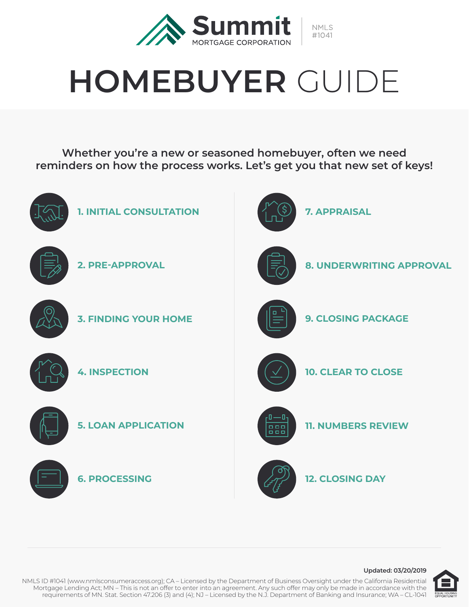

# **HOMEBUYER** GUIDE

**Whether you're a new or seasoned homebuyer, often we need reminders on how the process works. Let's get you that new set of keys!**





NMLS ID #1041 (www.nmlsconsumeraccess.org); CA – Licensed by the Department of Business Oversight under the California Residential Mortgage Lending Act; MN – This is not an offer to enter into an agreement. Any such offer may only be made in accordance with the requirements of MN. Stat. Section 47.206 (3) and (4); NJ – Licensed by the N.J. Department of Banking and Insurance; WA – CL-1041

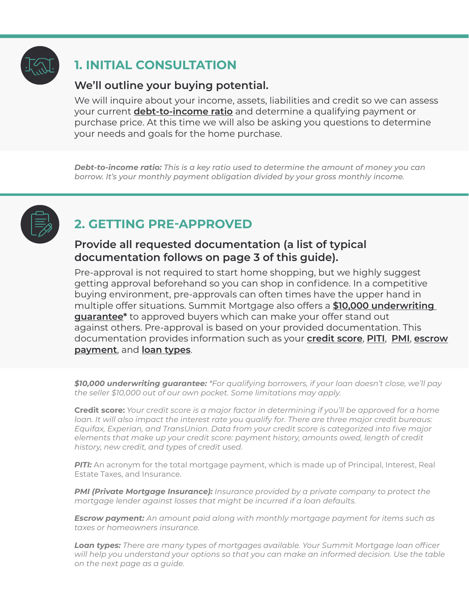

# **1. INITIAL CONSULTATION**

#### **We'll outline your buying potential.**

We will inquire about your income, assets, liabilities and credit so we can assess your current **debt-to-income ratio** and determine a qualifying payment or purchase price. At this time we will also be asking you questions to determine your needs and goals for the home purchase.

*Debt-to-income ratio: This is a key ratio used to determine the amount of money you can borrow. It's your monthly payment obligation divided by your gross monthly income.*



# **2. GETTING PRE-APPROVED**

#### **Provide all requested documentation (a list of typical documentation follows on page 3 of this guide).**

Pre-approval is not required to start home shopping, but we highly suggest getting approval beforehand so you can shop in confidence. In a competitive buying environment, pre-approvals can often times have the upper hand in multiple offer situations. Summit Mortgage also offers a **\$10,000 underwriting guarantee\*** to approved buyers which can make your offer stand out against others. Pre-approval is based on your provided documentation. This documentation provides information such as your **credit score**, **PITI**, **PMI**, **escrow payment**, and **loan types**.

*\$10,000 underwriting guarantee: \*For qualifying borrowers, if your loan doesn't close, we'll pay the seller \$10,000 out of our own pocket. Some limitations may apply.*

**Credit score:** *Your credit score is a major factor in determining if you'll be approved for a home loan. It will also impact the interest rate you qualify for. There are three major credit bureaus: Equifax, Experian, and TransUnion. Data from your credit score is categorized into five major elements that make up your credit score: payment history, amounts owed, length of credit history, new credit, and types of credit used.* 

**PITI:** An acronym for the total mortgage payment, which is made up of Principal, Interest, Real Estate Taxes, and Insurance.

*PMI (Private Mortgage Insurance): Insurance provided by a private company to protect the mortgage lender against losses that might be incurred if a loan defaults.*

*Escrow payment: An amount paid along with monthly mortgage payment for items such as taxes or homeowners insurance.*

*Loan types: There are many types of mortgages available. Your Summit Mortgage loan officer will help you understand your options so that you can make an informed decision. Use the table on the next page as a guide.*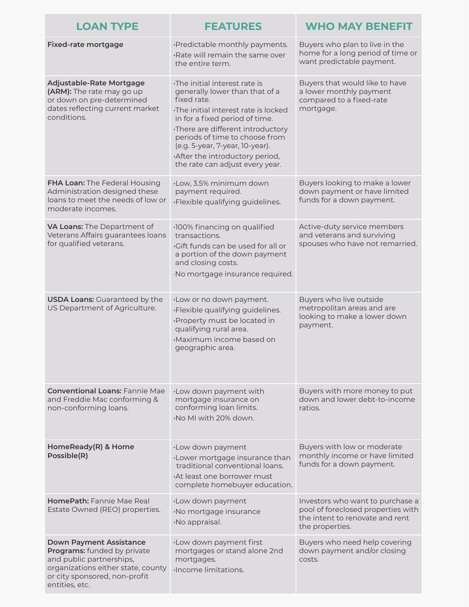| <b>LOAN TYPE</b>                                                                                                                                                                   | <b>FEATURES</b>                                                                                                                                                                                                                                                                                                                       | <b>WHO MAY BENEFIT</b>                                                                                                       |
|------------------------------------------------------------------------------------------------------------------------------------------------------------------------------------|---------------------------------------------------------------------------------------------------------------------------------------------------------------------------------------------------------------------------------------------------------------------------------------------------------------------------------------|------------------------------------------------------------------------------------------------------------------------------|
| <b>Fixed-rate mortgage</b>                                                                                                                                                         | ·Predictable monthly payments.<br>·Rate will remain the same over<br>the entire term.                                                                                                                                                                                                                                                 | Buyers who plan to live in the<br>home for a long period of time or<br>want predictable payment.                             |
| Adjustable-Rate Mortgage<br>(ARM): The rate may go up<br>or down on pre-determined<br>dates reflecting current market<br>conditions.                                               | The initial interest rate is<br>generally lower than that of a<br>fixed rate.<br>The initial interest rate is locked<br>in for a fixed period of time.<br>·There are different introductory<br>periods of time to choose from<br>(e.g. 5-year, 7-year, 10-year).<br>After the introductory period,<br>the rate can adjust every year. | Buyers that would like to have<br>a lower monthly payment<br>compared to a fixed-rate<br>mortgage.                           |
| FHA Loan: The Federal Housing<br>Administration designed these<br>loans to meet the needs of low or<br>moderate incomes.                                                           | ·Low, 3.5% minimum down<br>payment required.<br>·Flexible qualifying guidelines.                                                                                                                                                                                                                                                      | Buyers looking to make a lower<br>down payment or have limited<br>funds for a down payment.                                  |
| VA Loans: The Department of<br>Veterans Affairs guarantees loans<br>for qualified veterans.                                                                                        | ·100% financing on qualified<br>transactions.<br>Gift funds can be used for all or<br>a portion of the down payment<br>and closing costs.<br>·No mortgage insurance required.                                                                                                                                                         | Active-duty service members<br>and veterans and surviving<br>spouses who have not remarried.                                 |
| <b>USDA Loans: Guaranteed by the</b><br>US Department of Agriculture.                                                                                                              | ·Low or no down payment.<br>·Flexible qualifying guidelines.<br>·Property must be located in<br>qualifying rural area.<br>·Maximum income based on<br>geographic area.                                                                                                                                                                | Buyers who live outside<br>metropolitan areas and are<br>looking to make a lower down<br>payment.                            |
| <b>Conventional Loans: Fannie Mae</b><br>and Freddie Mac conforming &<br>non-conforming loans.                                                                                     | ·Low down payment with<br>mortgage insurance on<br>conforming loan limits.<br>·No MI with 20% down.                                                                                                                                                                                                                                   | Buyers with more money to put<br>down and lower debt-to-income<br>ratios.                                                    |
| HomeReady(R) & Home<br>Possible(R)                                                                                                                                                 | ·Low down payment<br>·Lower mortgage insurance than<br>traditional conventional loans.<br>At least one borrower must<br>complete homebuyer education.                                                                                                                                                                                 | Buyers with low or moderate<br>monthly income or have limited<br>funds for a down payment.                                   |
| <b>HomePath: Fannie Mae Real</b><br>Estate Owned (REO) properties.                                                                                                                 | ·Low down payment<br>·No mortgage insurance<br>·No appraisal.                                                                                                                                                                                                                                                                         | Investors who want to purchase a<br>pool of foreclosed properties with<br>the intent to renovate and rent<br>the properties. |
| <b>Down Payment Assistance</b><br>Programs: funded by private<br>and public partnerships,<br>organizations either state, county<br>or city sponsored, non-profit<br>entities, etc. | ·Low down payment first<br>mortgages or stand alone 2nd<br>mortgages.<br>Income limitations.                                                                                                                                                                                                                                          | Buyers who need help covering<br>down payment and/or closing<br>costs.                                                       |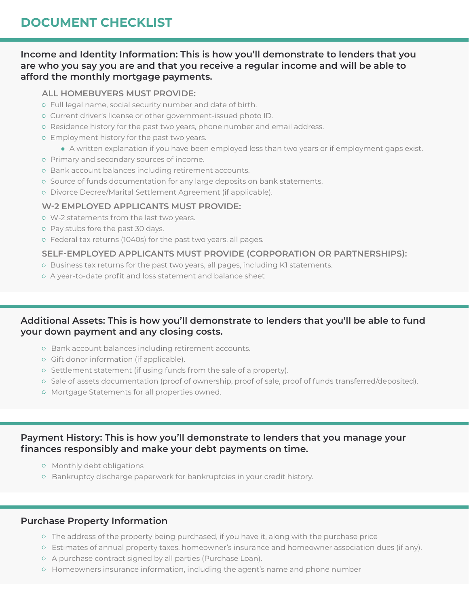## **DOCUMENT CHECKLIST**

#### **Income and Identity Information: This is how you'll demonstrate to lenders that you are who you say you are and that you receive a regular income and will be able to afford the monthly mortgage payments.**

#### **ALL HOMEBUYERS MUST PROVIDE:**

- Full legal name, social security number and date of birth.
- Current driver's license or other government-issued photo ID.
- o Residence history for the past two years, phone number and email address.
- Employment history for the past two years.
	- A written explanation if you have been employed less than two years or if employment gaps exist.
- Primary and secondary sources of income.
- o Bank account balances including retirement accounts.
- o Source of funds documentation for any large deposits on bank statements.
- o Divorce Decree/Marital Settlement Agreement (if applicable).

#### **W-2 EMPLOYED APPLICANTS MUST PROVIDE:**

- W-2 statements from the last two years.
- o Pay stubs fore the past 30 days.
- Federal tax returns (1040s) for the past two years, all pages.

#### **SELF-EMPLOYED APPLICANTS MUST PROVIDE (CORPORATION OR PARTNERSHIPS):**

- o Business tax returns for the past two years, all pages, including K1 statements.
- A year-to-date profit and loss statement and balance sheet

#### **Additional Assets: This is how you'll demonstrate to lenders that you'll be able to fund your down payment and any closing costs.**

- o Bank account balances including retirement accounts.
- o Gift donor information (if applicable).
- o Settlement statement (if using funds from the sale of a property).
- o Sale of assets documentation (proof of ownership, proof of sale, proof of funds transferred/deposited).
- Mortgage Statements for all properties owned.

#### **Payment History: This is how you'll demonstrate to lenders that you manage your finances responsibly and make your debt payments on time.**

- o Monthly debt obligations
- o Bankruptcy discharge paperwork for bankruptcies in your credit history.

#### **Purchase Property Information**

- $\circ$  The address of the property being purchased, if you have it, along with the purchase price
- Estimates of annual property taxes, homeowner's insurance and homeowner association dues (if any).
- A purchase contract signed by all parties (Purchase Loan).
- o Homeowners insurance information, including the agent's name and phone number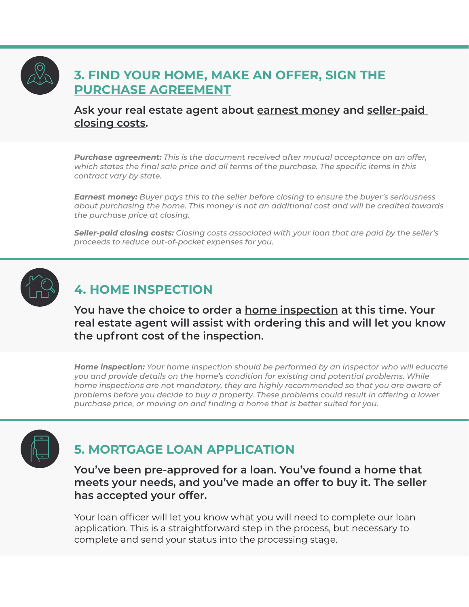## **3. FIND YOUR HOME, MAKE AN OFFER, SIGN THE PURCHASE AGREEMENT**

#### **Ask your real estate agent about earnest money and seller-paid closing costs.**

*Purchase agreement: This is the document received after mutual acceptance on an offer, which states the final sale price and all terms of the purchase. The specific items in this contract vary by state.*

*Earnest money: Buyer pays this to the seller before closing to ensure the buyer's seriousness about purchasing the home. This money is not an additional cost and will be credited towards the purchase price at closing.*

*Seller-paid closing costs: Closing costs associated with your loan that are paid by the seller's proceeds to reduce out-of-pocket expenses for you.*



## **4. HOME INSPECTION**

**You have the choice to order a home inspection at this time. Your real estate agent will assist with ordering this and will let you know the upfront cost of the inspection.**

*Home inspection: Your home inspection should be performed by an inspector who will educate you and provide details on the home's condition for existing and potential problems. While home inspections are not mandatory, they are highly recommended so that you are aware of problems before you decide to buy a property. These problems could result in offering a lower purchase price, or moving on and finding a home that is better suited for you.*



## **5. MORTGAGE LOAN APPLICATION**

**You've been pre-approved for a loan. You've found a home that meets your needs, and you've made an offer to buy it. The seller has accepted your offer.** 

Your loan officer will let you know what you will need to complete our loan application. This is a straightforward step in the process, but necessary to complete and send your status into the processing stage.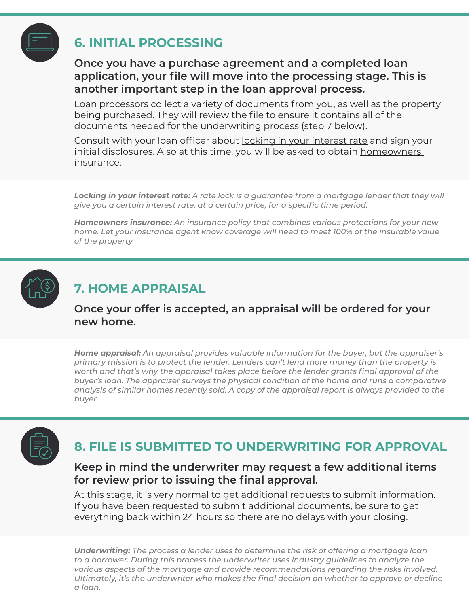

## **6. INITIAL PROCESSING**

#### **Once you have a purchase agreement and a completed loan application, your file will move into the processing stage. This is another important step in the loan approval process.**

Loan processors collect a variety of documents from you, as well as the property being purchased. They will review the file to ensure it contains all of the documents needed for the underwriting process (step 7 below).

Consult with your loan officer about locking in your interest rate and sign your initial disclosures. Also at this time, you will be asked to obtain homeowners insurance.

*Locking in your interest rate: A rate lock is a guarantee from a mortgage lender that they will give you a certain interest rate, at a certain price, for a specific time period.*

*Homeowners insurance: An insurance policy that combines various protections for your new home. Let your insurance agent know coverage will need to meet 100% of the insurable value of the property.*



## **7. HOME APPRAISAL**

**Once your offer is accepted, an appraisal will be ordered for your new home.**

*Home appraisal: An appraisal provides valuable information for the buyer, but the appraiser's primary mission is to protect the lender. Lenders can't lend more money than the property is worth and that's why the appraisal takes place before the lender grants final approval of the buyer's loan. The appraiser surveys the physical condition of the home and runs a comparative analysis of similar homes recently sold. A copy of the appraisal report is always provided to the buyer.* 



# **8. FILE IS SUBMITTED TO UNDERWRITING FOR APPROVAL**

#### **Keep in mind the underwriter may request a few additional items for review prior to issuing the final approval.**

At this stage, it is very normal to get additional requests to submit information. If you have been requested to submit additional documents, be sure to get everything back within 24 hours so there are no delays with your closing.

*Underwriting: The process a lender uses to determine the risk of offering a mortgage loan to a borrower. During this process the underwriter uses industry guidelines to analyze the various aspects of the mortgage and provide recommendations regarding the risks involved. Ultimately, it's the underwriter who makes the final decision on whether to approve or decline a loan.*